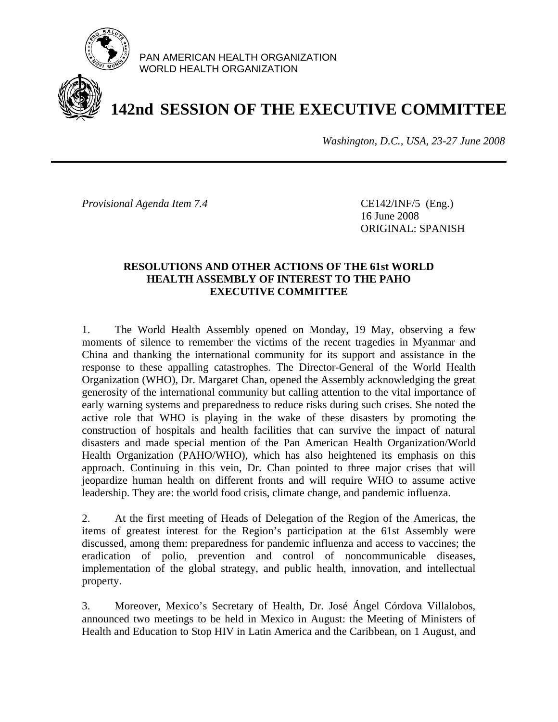

PAN AMERICAN HEALTH ORGANIZATION WORLD HEALTH ORGANIZATION

# **142nd SESSION OF THE EXECUTIVE COMMITTEE**

*Washington, D.C., USA, 23-27 June 2008*

*Provisional Agenda Item 7.4* CE142/INF/5 (Eng.)

 16 June 2008 ORIGINAL: SPANISH

### **RESOLUTIONS AND OTHER ACTIONS OF THE 61st WORLD HEALTH ASSEMBLY OF INTEREST TO THE PAHO EXECUTIVE COMMITTEE**

1. The World Health Assembly opened on Monday, 19 May, observing a few moments of silence to remember the victims of the recent tragedies in Myanmar and China and thanking the international community for its support and assistance in the response to these appalling catastrophes. The Director-General of the World Health Organization (WHO), Dr. Margaret Chan, opened the Assembly acknowledging the great generosity of the international community but calling attention to the vital importance of early warning systems and preparedness to reduce risks during such crises. She noted the active role that WHO is playing in the wake of these disasters by promoting the construction of hospitals and health facilities that can survive the impact of natural disasters and made special mention of the Pan American Health Organization/World Health Organization (PAHO/WHO), which has also heightened its emphasis on this approach. Continuing in this vein, Dr. Chan pointed to three major crises that will jeopardize human health on different fronts and will require WHO to assume active leadership. They are: the world food crisis, climate change, and pandemic influenza.

2. At the first meeting of Heads of Delegation of the Region of the Americas, the items of greatest interest for the Region's participation at the 61st Assembly were discussed, among them: preparedness for pandemic influenza and access to vaccines; the eradication of polio, prevention and control of noncommunicable diseases, implementation of the global strategy, and public health, innovation, and intellectual property.

3. Moreover, Mexico's Secretary of Health, Dr. José Ángel Córdova Villalobos, announced two meetings to be held in Mexico in August: the Meeting of Ministers of Health and Education to Stop HIV in Latin America and the Caribbean, on 1 August, and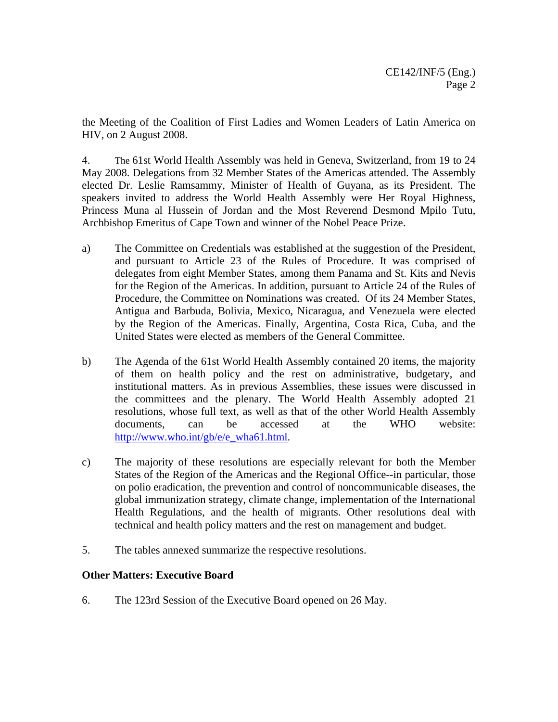the Meeting of the Coalition of First Ladies and Women Leaders of Latin America on HIV, on 2 August 2008.

4. The 61st World Health Assembly was held in Geneva, Switzerland, from 19 to 24 May 2008. Delegations from 32 Member States of the Americas attended. The Assembly elected Dr. Leslie Ramsammy, Minister of Health of Guyana, as its President. The speakers invited to address the World Health Assembly were Her Royal Highness, Princess Muna al Hussein of Jordan and the Most Reverend Desmond Mpilo Tutu, Archbishop Emeritus of Cape Town and winner of the Nobel Peace Prize.

- a) The Committee on Credentials was established at the suggestion of the President, and pursuant to Article 23 of the Rules of Procedure. It was comprised of delegates from eight Member States, among them Panama and St. Kits and Nevis for the Region of the Americas. In addition, pursuant to Article 24 of the Rules of Procedure, the Committee on Nominations was created. Of its 24 Member States, Antigua and Barbuda, Bolivia, Mexico, Nicaragua, and Venezuela were elected by the Region of the Americas. Finally, Argentina, Costa Rica, Cuba, and the United States were elected as members of the General Committee.
- b) The Agenda of the 61st World Health Assembly contained 20 items, the majority of them on health policy and the rest on administrative, budgetary, and institutional matters. As in previous Assemblies, these issues were discussed in the committees and the plenary. The World Health Assembly adopted 21 resolutions, whose full text, as well as that of the other World Health Assembly documents, can be accessed at the WHO website: http://www.who.int/gb/e/e\_wha61.html.
- c) The majority of these resolutions are especially relevant for both the Member States of the Region of the Americas and the Regional Office--in particular, those on polio eradication, the prevention and control of noncommunicable diseases, the global immunization strategy, climate change, implementation of the International Health Regulations, and the health of migrants. Other resolutions deal with technical and health policy matters and the rest on management and budget.
- 5. The tables annexed summarize the respective resolutions.

### **Other Matters: Executive Board**

6. The 123rd Session of the Executive Board opened on 26 May.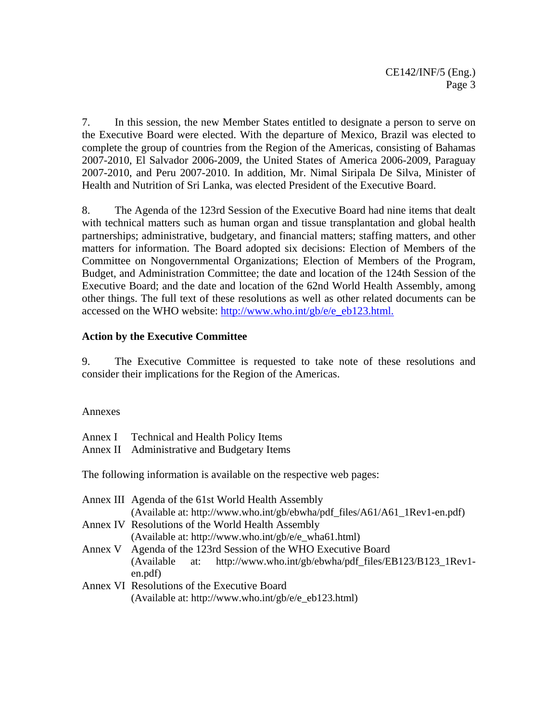7. In this session, the new Member States entitled to designate a person to serve on the Executive Board were elected. With the departure of Mexico, Brazil was elected to complete the group of countries from the Region of the Americas, consisting of Bahamas 2007-2010, El Salvador 2006-2009, the United States of America 2006-2009, Paraguay 2007-2010, and Peru 2007-2010. In addition, Mr. Nimal Siripala De Silva, Minister of Health and Nutrition of Sri Lanka, was elected President of the Executive Board.

8. The Agenda of the 123rd Session of the Executive Board had nine items that dealt with technical matters such as human organ and tissue transplantation and global health partnerships; administrative, budgetary, and financial matters; staffing matters, and other matters for information. The Board adopted six decisions: Election of Members of the Committee on Nongovernmental Organizations; Election of Members of the Program, Budget, and Administration Committee; the date and location of the 124th Session of the Executive Board; and the date and location of the 62nd World Health Assembly, among other things. The full text of these resolutions as well as other related documents can be accessed on the WHO website: http://www.who.int/gb/e/e\_eb123.html.

### **Action by the Executive Committee**

9. The Executive Committee is requested to take note of these resolutions and consider their implications for the Region of the Americas.

### Annexes

| Annex I Technical and Health Policy Items<br>Annex II Administrative and Budgetary Items                                         |
|----------------------------------------------------------------------------------------------------------------------------------|
| The following information is available on the respective web pages:                                                              |
| Annex III Agenda of the 61st World Health Assembly<br>(Available at: http://www.who.int/gb/ebwha/pdf_files/A61/A61_1Rev1-en.pdf) |

|                                                                |  | Annex IV Resolutions of the World Health Assembly                      |
|----------------------------------------------------------------|--|------------------------------------------------------------------------|
|                                                                |  | (Available at: http://www.who.int/gb/e/e_wha61.html)                   |
| Annex V Agenda of the 123rd Session of the WHO Executive Board |  |                                                                        |
|                                                                |  | (Available at: http://www.who.int/gb/ebwha/pdf_files/EB123/B123_1Rev1- |
| en.pdf)                                                        |  |                                                                        |

Annex VI Resolutions of the Executive Board (Available at: http://www.who.int/gb/e/e\_eb123.html)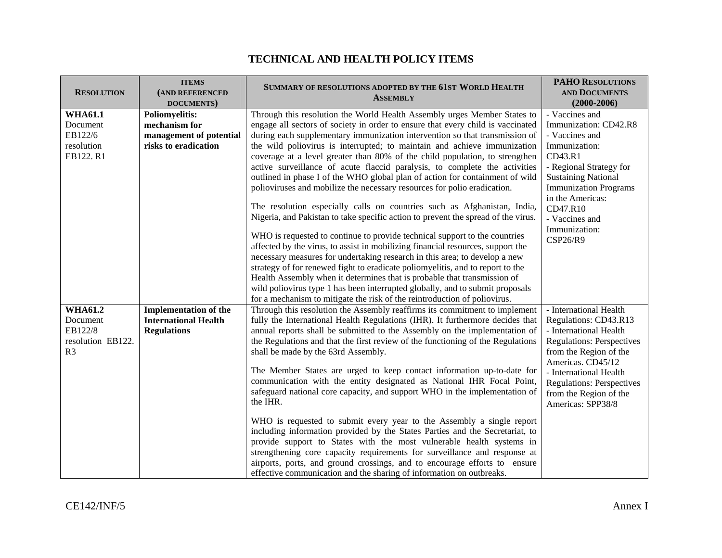### **TECHNICAL AND HEALTH POLICY ITEMS**

| <b>RESOLUTION</b>                                                            | <b>ITEMS</b><br>(AND REFERENCED<br>DOCUMENTS)                                             | SUMMARY OF RESOLUTIONS ADOPTED BY THE 61ST WORLD HEALTH<br><b>ASSEMBLY</b>                                                                                                                                                                                                                                                                                                                                                                                                                                                                                                                                                                                                                                                                                                                                                                                                                                                                                                                                                                                                                                                                                                                                                                                                                                                                                                                  | <b>PAHO RESOLUTIONS</b><br><b>AND DOCUMENTS</b><br>$(2000 - 2006)$                                                                                                                                                                                                        |
|------------------------------------------------------------------------------|-------------------------------------------------------------------------------------------|---------------------------------------------------------------------------------------------------------------------------------------------------------------------------------------------------------------------------------------------------------------------------------------------------------------------------------------------------------------------------------------------------------------------------------------------------------------------------------------------------------------------------------------------------------------------------------------------------------------------------------------------------------------------------------------------------------------------------------------------------------------------------------------------------------------------------------------------------------------------------------------------------------------------------------------------------------------------------------------------------------------------------------------------------------------------------------------------------------------------------------------------------------------------------------------------------------------------------------------------------------------------------------------------------------------------------------------------------------------------------------------------|---------------------------------------------------------------------------------------------------------------------------------------------------------------------------------------------------------------------------------------------------------------------------|
| <b>WHA61.1</b><br>Document<br>EB122/6<br>resolution<br>EB122. R1             | <b>Poliomyelitis:</b><br>mechanism for<br>management of potential<br>risks to eradication | Through this resolution the World Health Assembly urges Member States to<br>engage all sectors of society in order to ensure that every child is vaccinated<br>during each supplementary immunization intervention so that transmission of<br>the wild poliovirus is interrupted; to maintain and achieve immunization<br>coverage at a level greater than 80% of the child population, to strengthen<br>active surveillance of acute flaccid paralysis, to complete the activities<br>outlined in phase I of the WHO global plan of action for containment of wild<br>polioviruses and mobilize the necessary resources for polio eradication.<br>The resolution especially calls on countries such as Afghanistan, India,<br>Nigeria, and Pakistan to take specific action to prevent the spread of the virus.<br>WHO is requested to continue to provide technical support to the countries<br>affected by the virus, to assist in mobilizing financial resources, support the<br>necessary measures for undertaking research in this area; to develop a new<br>strategy of for renewed fight to eradicate poliomyelitis, and to report to the<br>Health Assembly when it determines that is probable that transmission of<br>wild poliovirus type 1 has been interrupted globally, and to submit proposals<br>for a mechanism to mitigate the risk of the reintroduction of poliovirus. | - Vaccines and<br>Immunization: CD42.R8<br>- Vaccines and<br>Immunization:<br>CD43.R1<br>- Regional Strategy for<br><b>Sustaining National</b><br><b>Immunization Programs</b><br>in the Americas:<br>CD47.R10<br>- Vaccines and<br>Immunization:<br>CSP26/R9             |
| <b>WHA61.2</b><br>Document<br>EB122/8<br>resolution EB122.<br>R <sub>3</sub> | <b>Implementation of the</b><br><b>International Health</b><br><b>Regulations</b>         | Through this resolution the Assembly reaffirms its commitment to implement<br>fully the International Health Regulations (IHR). It furthermore decides that<br>annual reports shall be submitted to the Assembly on the implementation of<br>the Regulations and that the first review of the functioning of the Regulations<br>shall be made by the 63rd Assembly.<br>The Member States are urged to keep contact information up-to-date for<br>communication with the entity designated as National IHR Focal Point,<br>safeguard national core capacity, and support WHO in the implementation of<br>the IHR.<br>WHO is requested to submit every year to the Assembly a single report<br>including information provided by the States Parties and the Secretariat, to<br>provide support to States with the most vulnerable health systems in<br>strengthening core capacity requirements for surveillance and response at<br>airports, ports, and ground crossings, and to encourage efforts to ensure<br>effective communication and the sharing of information on outbreaks.                                                                                                                                                                                                                                                                                                         | - International Health<br>Regulations: CD43.R13<br>- International Health<br><b>Regulations: Perspectives</b><br>from the Region of the<br>Americas. CD45/12<br>- International Health<br><b>Regulations: Perspectives</b><br>from the Region of the<br>Americas: SPP38/8 |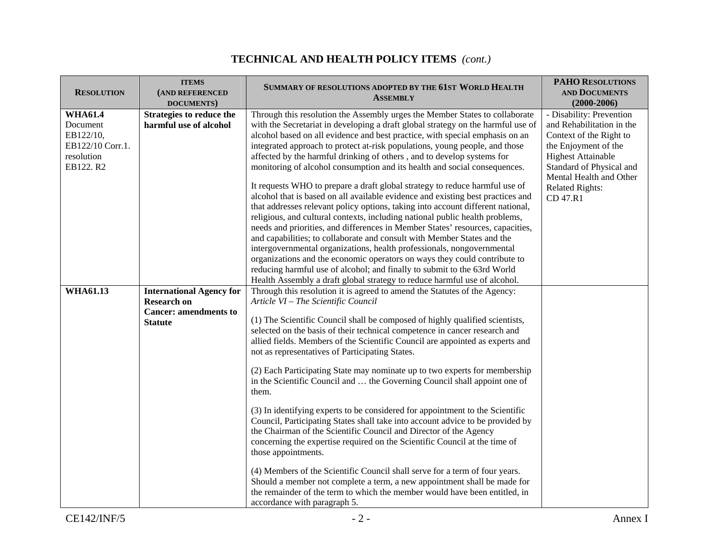| <b>RESOLUTION</b>                                                                      | <b>ITEMS</b><br>(AND REFERENCED<br>DOCUMENTS)                                                           | SUMMARY OF RESOLUTIONS ADOPTED BY THE 61ST WORLD HEALTH<br><b>ASSEMBLY</b>                                                                                                                                                                                                                                                                                                                                                                                                                                                                                                                                                                                                                                                                                                                                                                                                                                                                                                                                                                                                                                                                                                                                                                                                                              | <b>PAHO RESOLUTIONS</b><br><b>AND DOCUMENTS</b><br>$(2000-2006)$                                                                                                                                                                   |
|----------------------------------------------------------------------------------------|---------------------------------------------------------------------------------------------------------|---------------------------------------------------------------------------------------------------------------------------------------------------------------------------------------------------------------------------------------------------------------------------------------------------------------------------------------------------------------------------------------------------------------------------------------------------------------------------------------------------------------------------------------------------------------------------------------------------------------------------------------------------------------------------------------------------------------------------------------------------------------------------------------------------------------------------------------------------------------------------------------------------------------------------------------------------------------------------------------------------------------------------------------------------------------------------------------------------------------------------------------------------------------------------------------------------------------------------------------------------------------------------------------------------------|------------------------------------------------------------------------------------------------------------------------------------------------------------------------------------------------------------------------------------|
| <b>WHA61.4</b><br>Document<br>EB122/10,<br>EB122/10 Corr.1.<br>resolution<br>EB122. R2 | Strategies to reduce the<br>harmful use of alcohol                                                      | Through this resolution the Assembly urges the Member States to collaborate<br>with the Secretariat in developing a draft global strategy on the harmful use of<br>alcohol based on all evidence and best practice, with special emphasis on an<br>integrated approach to protect at-risk populations, young people, and those<br>affected by the harmful drinking of others, and to develop systems for<br>monitoring of alcohol consumption and its health and social consequences.<br>It requests WHO to prepare a draft global strategy to reduce harmful use of<br>alcohol that is based on all available evidence and existing best practices and<br>that addresses relevant policy options, taking into account different national,<br>religious, and cultural contexts, including national public health problems,<br>needs and priorities, and differences in Member States' resources, capacities,<br>and capabilities; to collaborate and consult with Member States and the<br>intergovernmental organizations, health professionals, nongovernmental<br>organizations and the economic operators on ways they could contribute to<br>reducing harmful use of alcohol; and finally to submit to the 63rd World<br>Health Assembly a draft global strategy to reduce harmful use of alcohol. | - Disability: Prevention<br>and Rehabilitation in the<br>Context of the Right to<br>the Enjoyment of the<br><b>Highest Attainable</b><br>Standard of Physical and<br>Mental Health and Other<br><b>Related Rights:</b><br>CD 47.R1 |
| <b>WHA61.13</b>                                                                        | <b>International Agency for</b><br><b>Research on</b><br><b>Cancer: amendments to</b><br><b>Statute</b> | Through this resolution it is agreed to amend the Statutes of the Agency:<br>Article VI - The Scientific Council<br>(1) The Scientific Council shall be composed of highly qualified scientists,<br>selected on the basis of their technical competence in cancer research and<br>allied fields. Members of the Scientific Council are appointed as experts and<br>not as representatives of Participating States.<br>(2) Each Participating State may nominate up to two experts for membership<br>in the Scientific Council and  the Governing Council shall appoint one of<br>them.<br>(3) In identifying experts to be considered for appointment to the Scientific<br>Council, Participating States shall take into account advice to be provided by<br>the Chairman of the Scientific Council and Director of the Agency<br>concerning the expertise required on the Scientific Council at the time of<br>those appointments.<br>(4) Members of the Scientific Council shall serve for a term of four years.<br>Should a member not complete a term, a new appointment shall be made for<br>the remainder of the term to which the member would have been entitled, in<br>accordance with paragraph 5.                                                                                            |                                                                                                                                                                                                                                    |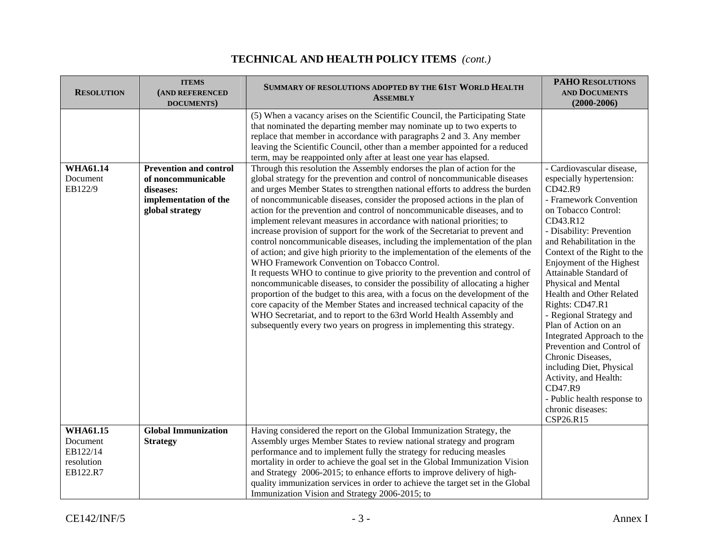| <b>RESOLUTION</b>                                                 | <b>ITEMS</b><br>(AND REFERENCED<br>DOCUMENTS)                                                                | SUMMARY OF RESOLUTIONS ADOPTED BY THE 61ST WORLD HEALTH<br><b>ASSEMBLY</b>                                                                                                                                                                                                                                                                                                                                                                                                                                                                                                                                                                                                                                                                                                                                                                                                                                                                                                                                                                                                                                                                                                                                                                                                                                                                                                                                                                                                                                                                                                                                                                           | <b>PAHO RESOLUTIONS</b><br><b>AND DOCUMENTS</b><br>$(2000 - 2006)$                                                                                                                                                                                                                                                                                                                                                                                                                                               |
|-------------------------------------------------------------------|--------------------------------------------------------------------------------------------------------------|------------------------------------------------------------------------------------------------------------------------------------------------------------------------------------------------------------------------------------------------------------------------------------------------------------------------------------------------------------------------------------------------------------------------------------------------------------------------------------------------------------------------------------------------------------------------------------------------------------------------------------------------------------------------------------------------------------------------------------------------------------------------------------------------------------------------------------------------------------------------------------------------------------------------------------------------------------------------------------------------------------------------------------------------------------------------------------------------------------------------------------------------------------------------------------------------------------------------------------------------------------------------------------------------------------------------------------------------------------------------------------------------------------------------------------------------------------------------------------------------------------------------------------------------------------------------------------------------------------------------------------------------------|------------------------------------------------------------------------------------------------------------------------------------------------------------------------------------------------------------------------------------------------------------------------------------------------------------------------------------------------------------------------------------------------------------------------------------------------------------------------------------------------------------------|
| <b>WHA61.14</b><br>Document<br>EB122/9                            | <b>Prevention and control</b><br>of noncommunicable<br>diseases:<br>implementation of the<br>global strategy | (5) When a vacancy arises on the Scientific Council, the Participating State<br>that nominated the departing member may nominate up to two experts to<br>replace that member in accordance with paragraphs 2 and 3. Any member<br>leaving the Scientific Council, other than a member appointed for a reduced<br>term, may be reappointed only after at least one year has elapsed.<br>Through this resolution the Assembly endorses the plan of action for the<br>global strategy for the prevention and control of noncommunicable diseases<br>and urges Member States to strengthen national efforts to address the burden<br>of noncommunicable diseases, consider the proposed actions in the plan of<br>action for the prevention and control of noncommunicable diseases, and to<br>implement relevant measures in accordance with national priorities; to<br>increase provision of support for the work of the Secretariat to prevent and<br>control noncommunicable diseases, including the implementation of the plan<br>of action; and give high priority to the implementation of the elements of the<br>WHO Framework Convention on Tobacco Control.<br>It requests WHO to continue to give priority to the prevention and control of<br>noncommunicable diseases, to consider the possibility of allocating a higher<br>proportion of the budget to this area, with a focus on the development of the<br>core capacity of the Member States and increased technical capacity of the<br>WHO Secretariat, and to report to the 63rd World Health Assembly and<br>subsequently every two years on progress in implementing this strategy. | - Cardiovascular disease,<br>especially hypertension:<br>CD42.R9<br>- Framework Convention<br>on Tobacco Control:<br>CD43.R12<br>- Disability: Prevention<br>and Rehabilitation in the<br>Context of the Right to the<br>Enjoyment of the Highest<br>Attainable Standard of<br>Physical and Mental<br>Health and Other Related<br>Rights: CD47.R1<br>- Regional Strategy and<br>Plan of Action on an<br>Integrated Approach to the<br>Prevention and Control of<br>Chronic Diseases,<br>including Diet, Physical |
|                                                                   |                                                                                                              |                                                                                                                                                                                                                                                                                                                                                                                                                                                                                                                                                                                                                                                                                                                                                                                                                                                                                                                                                                                                                                                                                                                                                                                                                                                                                                                                                                                                                                                                                                                                                                                                                                                      | Activity, and Health:<br>CD47.R9<br>- Public health response to<br>chronic diseases:<br>CSP26.R15                                                                                                                                                                                                                                                                                                                                                                                                                |
| <b>WHA61.15</b><br>Document<br>EB122/14<br>resolution<br>EB122.R7 | <b>Global Immunization</b><br><b>Strategy</b>                                                                | Having considered the report on the Global Immunization Strategy, the<br>Assembly urges Member States to review national strategy and program<br>performance and to implement fully the strategy for reducing measles<br>mortality in order to achieve the goal set in the Global Immunization Vision<br>and Strategy 2006-2015; to enhance efforts to improve delivery of high-<br>quality immunization services in order to achieve the target set in the Global<br>Immunization Vision and Strategy 2006-2015; to                                                                                                                                                                                                                                                                                                                                                                                                                                                                                                                                                                                                                                                                                                                                                                                                                                                                                                                                                                                                                                                                                                                                 |                                                                                                                                                                                                                                                                                                                                                                                                                                                                                                                  |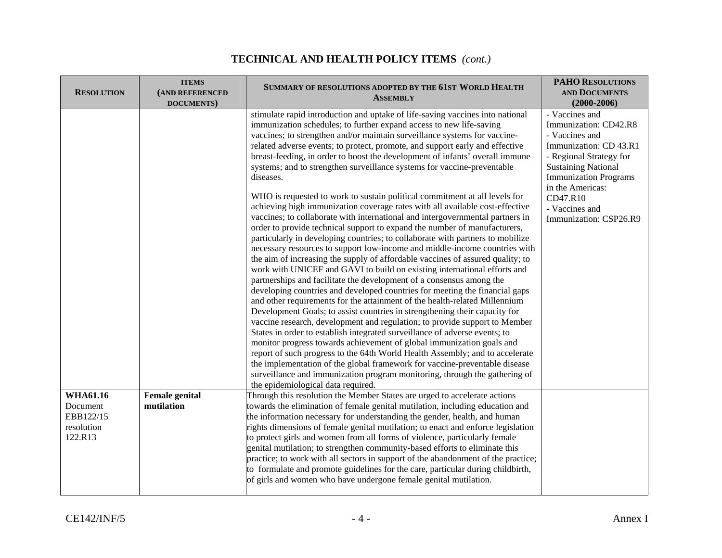| <b>RESOLUTION</b>                              | <b>ITEMS</b><br>(AND REFERENCED<br>DOCUMENTS) | SUMMARY OF RESOLUTIONS ADOPTED BY THE 61ST WORLD HEALTH<br><b>ASSEMBLY</b>                                                                                                                                                                                                                                                                                                                                                                                                                                                                                                                                                                                                                                                                                                                                                                                                                                                                                                                                                                                                                                                                                                                                                                                                                                                                                                                                                                                                                                                                                                                                                                                                                                                                                                                                                                                                                                                                                                                    | <b>PAHO RESOLUTIONS</b><br><b>AND DOCUMENTS</b><br>$(2000 - 2006)$                                                                                                                                                                                       |
|------------------------------------------------|-----------------------------------------------|-----------------------------------------------------------------------------------------------------------------------------------------------------------------------------------------------------------------------------------------------------------------------------------------------------------------------------------------------------------------------------------------------------------------------------------------------------------------------------------------------------------------------------------------------------------------------------------------------------------------------------------------------------------------------------------------------------------------------------------------------------------------------------------------------------------------------------------------------------------------------------------------------------------------------------------------------------------------------------------------------------------------------------------------------------------------------------------------------------------------------------------------------------------------------------------------------------------------------------------------------------------------------------------------------------------------------------------------------------------------------------------------------------------------------------------------------------------------------------------------------------------------------------------------------------------------------------------------------------------------------------------------------------------------------------------------------------------------------------------------------------------------------------------------------------------------------------------------------------------------------------------------------------------------------------------------------------------------------------------------------|----------------------------------------------------------------------------------------------------------------------------------------------------------------------------------------------------------------------------------------------------------|
|                                                |                                               | stimulate rapid introduction and uptake of life-saving vaccines into national<br>immunization schedules; to further expand access to new life-saving<br>vaccines; to strengthen and/or maintain surveillance systems for vaccine-<br>related adverse events; to protect, promote, and support early and effective<br>breast-feeding, in order to boost the development of infants' overall immune<br>systems; and to strengthen surveillance systems for vaccine-preventable<br>diseases.<br>WHO is requested to work to sustain political commitment at all levels for<br>achieving high immunization coverage rates with all available cost-effective<br>vaccines; to collaborate with international and intergovernmental partners in<br>order to provide technical support to expand the number of manufacturers,<br>particularly in developing countries; to collaborate with partners to mobilize<br>necessary resources to support low-income and middle-income countries with<br>the aim of increasing the supply of affordable vaccines of assured quality; to<br>work with UNICEF and GAVI to build on existing international efforts and<br>partnerships and facilitate the development of a consensus among the<br>developing countries and developed countries for meeting the financial gaps<br>and other requirements for the attainment of the health-related Millennium<br>Development Goals; to assist countries in strengthening their capacity for<br>vaccine research, development and regulation; to provide support to Member<br>States in order to establish integrated surveillance of adverse events; to<br>monitor progress towards achievement of global immunization goals and<br>report of such progress to the 64th World Health Assembly; and to accelerate<br>the implementation of the global framework for vaccine-preventable disease<br>surveillance and immunization program monitoring, through the gathering of<br>the epidemiological data required. | - Vaccines and<br>Immunization: CD42.R8<br>- Vaccines and<br>Immunization: CD 43.R1<br>- Regional Strategy for<br><b>Sustaining National</b><br><b>Immunization Programs</b><br>in the Americas:<br>CD47.R10<br>- Vaccines and<br>Immunization: CSP26.R9 |
| <b>WHA61.16</b>                                | <b>Female</b> genital                         | Through this resolution the Member States are urged to accelerate actions                                                                                                                                                                                                                                                                                                                                                                                                                                                                                                                                                                                                                                                                                                                                                                                                                                                                                                                                                                                                                                                                                                                                                                                                                                                                                                                                                                                                                                                                                                                                                                                                                                                                                                                                                                                                                                                                                                                     |                                                                                                                                                                                                                                                          |
| Document<br>EBB122/15<br>resolution<br>122.R13 | mutilation                                    | towards the elimination of female genital mutilation, including education and<br>the information necessary for understanding the gender, health, and human<br>rights dimensions of female genital mutilation; to enact and enforce legislation<br>to protect girls and women from all forms of violence, particularly female<br>genital mutilation; to strengthen community-based efforts to eliminate this<br>practice; to work with all sectors in support of the abandonment of the practice;<br>to formulate and promote guidelines for the care, particular during childbirth,<br>of girls and women who have undergone female genital mutilation.                                                                                                                                                                                                                                                                                                                                                                                                                                                                                                                                                                                                                                                                                                                                                                                                                                                                                                                                                                                                                                                                                                                                                                                                                                                                                                                                       |                                                                                                                                                                                                                                                          |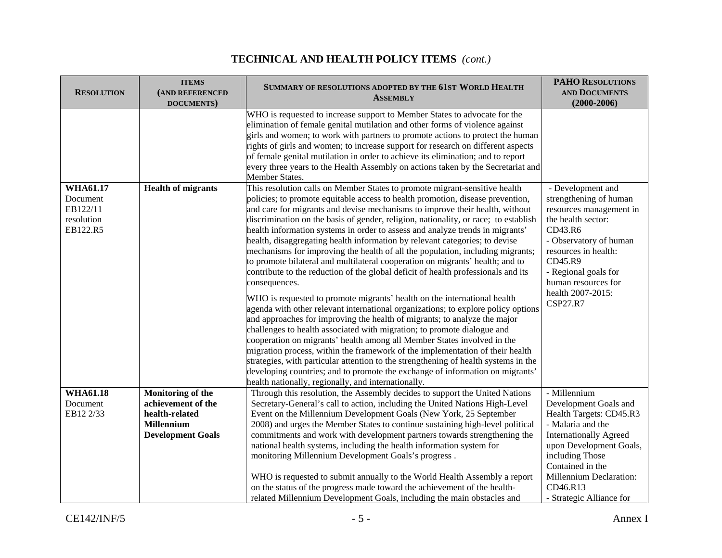#### **RESOLUTION ITEMS(AND REFERENCED DOCUMENTS) SUMMARY OF RESOLUTIONS ADOPTED BY THE 61STWORLD HEALTH ASSEMBLY PAHORESOLUTIONS AND DOCUMENTS(2000-2006)** WHO is requested to increase support to Member States to advocate for the elimination of female genital mutilation and other forms of violence against girls and women; to work with partners to promote actions to protect the human rights of girls and women; to increase support for research on different aspects of female genital mutilation in order to achieve its elimination; and to report every three years to the Health Assembly on actions taken by the Secretariat and Member States. **WHA61.17**Document EB122/11 resolution EB122.R5**Health of migrants** This resolution calls on Member States to promote migrant-sensitive health policies; to promote equitable access to health promotion, disease prevention, and care for migrants and devise mechanisms to improve their health, without discrimination on the basis of gender, religion, nationality, or race; to establish health information systems in order to assess and analyze trends in migrants' health, disaggregating health information by relevant categories; to devise mechanisms for improving the health of all the population, including migrants; to promote bilateral and multilateral cooperation on migrants' health; and to contribute to the reduction of the global deficit of health professionals and its consequences. WHO is requested to promote migrants' health on the international health agenda with other relevant international organizations; to explore policy options and approaches for improving the health of migrants; to analyze the major challenges to health associated with migration; to promote dialogue and cooperation on migrants' health among all Member States involved in the migration process, within the framework of the implementation of their health strategies, with particular attention to the strengthening of health systems in the developing countries; and to promote the exchange of information on migrants' health nationally, regionally, and internationally. - Development and strengthening of human resources management in the health sector: CD43.R6 - Observatory of human resources in health: CD45.R9 - Regional goals for human resources for health 2007-2015: CSP27.R7 **WHA61.18**Document EB12 2/33**Monitoring of the achievement of the health-related Millennium Development Goals**  Through this resolution, the Assembly decides to support the United Nations Secretary-General's call to action, including the United Nations High-Level Event on the Millennium Development Goals (New York, 25 September 2008) and urges the Member States to continue sustaining high-level political commitments and work with development partners towards strengthening the national health systems, including the health information system for monitoring Millennium Development Goals's progress . WHO is requested to submit annually to the World Health Assembly a report on the status of the progress made toward the achievement of the healthrelated Millennium Development Goals, including the main obstacles and - Millennium Development Goals and Health Targets: CD45.R3 - Malaria and the Internationally Agreed upon Development Goals, including Those Contained in the Millennium Declaration: CD46.R13 - Strategic Alliance for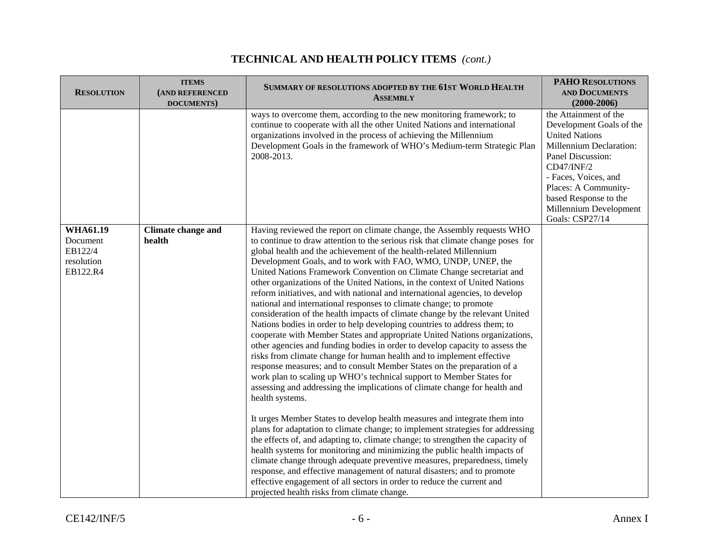#### **RESOLUTION ITEMS(AND REFERENCED DOCUMENTS) SUMMARY OF RESOLUTIONS ADOPTED BY THE 61STWORLD HEALTH ASSEMBLY PAHORESOLUTIONS AND DOCUMENTS(2000-2006)** ways to overcome them, according to the new monitoring framework; to continue to cooperate with all the other United Nations and international organizations involved in the process of achieving the Millennium Development Goals in the framework of WHO's Medium-term Strategic Plan 2008-2013. the Attainment of the Development Goals of the United Nations Millennium Declaration: Panel Discussion: CD47/INF/2 - Faces, Voices, and Places: A Communitybased Response to the Millennium Development Goals: CSP27/14 **WHA61.19**Document EB122/4 resolution EB122.R4**Climate change and health** Having reviewed the report on climate change, the Assembly requests WHO to continue to draw attention to the serious risk that climate change poses for global health and the achievement of the health-related Millennium Development Goals, and to work with FAO, WMO, UNDP, UNEP, the United Nations Framework Convention on Climate Change secretariat and other organizations of the United Nations, in the context of United Nations reform initiatives, and with national and international agencies, to develop national and international responses to climate change; to promote consideration of the health impacts of climate change by the relevant United Nations bodies in order to help developing countries to address them; to cooperate with Member States and appropriate United Nations organizations, other agencies and funding bodies in order to develop capacity to assess the risks from climate change for human health and to implement effective response measures; and to consult Member States on the preparation of a work plan to scaling up WHO's technical support to Member States for assessing and addressing the implications of climate change for health and health systems. It urges Member States to develop health measures and integrate them into plans for adaptation to climate change; to implement strategies for addressing the effects of, and adapting to, climate change; to strengthen the capacity of health systems for monitoring and minimizing the public health impacts of climate change through adequate preventive measures, preparedness, timely response, and effective management of natural disasters; and to promote effective engagement of all sectors in order to reduce the current and projected health risks from climate change.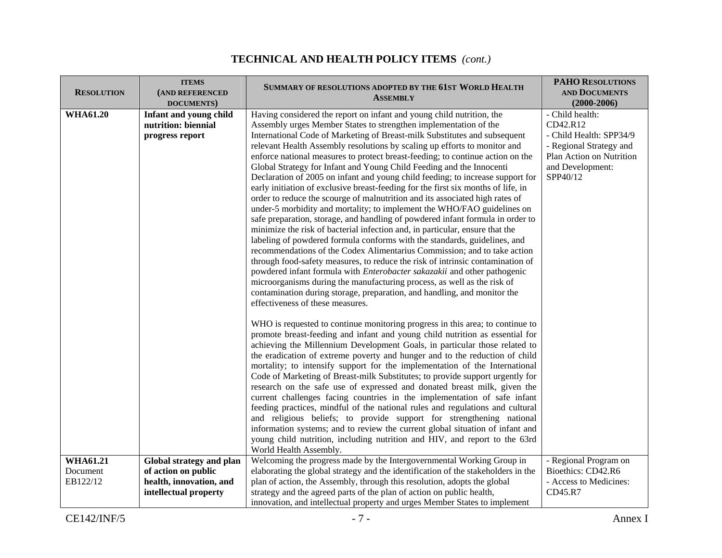| <b>RESOLUTION</b>                       | <b>ITEMS</b><br>(AND REFERENCED<br>DOCUMENTS)                                                       | SUMMARY OF RESOLUTIONS ADOPTED BY THE 61ST WORLD HEALTH<br><b>ASSEMBLY</b>                                                                                                                                                                                                                                                                                                                                                                                                                                                                                                                                                                                                                                                                                                                                                                                                                                                                                                                                                                                                                                                                                                                                                                                                                                                                                                                                                                                                                 | <b>PAHO RESOLUTIONS</b><br><b>AND DOCUMENTS</b><br>$(2000 - 2006)$                                                                            |
|-----------------------------------------|-----------------------------------------------------------------------------------------------------|--------------------------------------------------------------------------------------------------------------------------------------------------------------------------------------------------------------------------------------------------------------------------------------------------------------------------------------------------------------------------------------------------------------------------------------------------------------------------------------------------------------------------------------------------------------------------------------------------------------------------------------------------------------------------------------------------------------------------------------------------------------------------------------------------------------------------------------------------------------------------------------------------------------------------------------------------------------------------------------------------------------------------------------------------------------------------------------------------------------------------------------------------------------------------------------------------------------------------------------------------------------------------------------------------------------------------------------------------------------------------------------------------------------------------------------------------------------------------------------------|-----------------------------------------------------------------------------------------------------------------------------------------------|
| <b>WHA61.20</b>                         | Infant and young child<br>nutrition: biennial<br>progress report                                    | Having considered the report on infant and young child nutrition, the<br>Assembly urges Member States to strengthen implementation of the<br>International Code of Marketing of Breast-milk Substitutes and subsequent<br>relevant Health Assembly resolutions by scaling up efforts to monitor and<br>enforce national measures to protect breast-feeding; to continue action on the<br>Global Strategy for Infant and Young Child Feeding and the Innocenti<br>Declaration of 2005 on infant and young child feeding; to increase support for<br>early initiation of exclusive breast-feeding for the first six months of life, in<br>order to reduce the scourge of malnutrition and its associated high rates of<br>under-5 morbidity and mortality; to implement the WHO/FAO guidelines on<br>safe preparation, storage, and handling of powdered infant formula in order to<br>minimize the risk of bacterial infection and, in particular, ensure that the<br>labeling of powdered formula conforms with the standards, guidelines, and<br>recommendations of the Codex Alimentarius Commission; and to take action<br>through food-safety measures, to reduce the risk of intrinsic contamination of<br>powdered infant formula with <i>Enterobacter sakazakii</i> and other pathogenic<br>microorganisms during the manufacturing process, as well as the risk of<br>contamination during storage, preparation, and handling, and monitor the<br>effectiveness of these measures. | - Child health:<br>CD42.R12<br>- Child Health: SPP34/9<br>- Regional Strategy and<br>Plan Action on Nutrition<br>and Development:<br>SPP40/12 |
|                                         |                                                                                                     | WHO is requested to continue monitoring progress in this area; to continue to<br>promote breast-feeding and infant and young child nutrition as essential for<br>achieving the Millennium Development Goals, in particular those related to<br>the eradication of extreme poverty and hunger and to the reduction of child<br>mortality; to intensify support for the implementation of the International<br>Code of Marketing of Breast-milk Substitutes; to provide support urgently for<br>research on the safe use of expressed and donated breast milk, given the<br>current challenges facing countries in the implementation of safe infant<br>feeding practices, mindful of the national rules and regulations and cultural<br>and religious beliefs; to provide support for strengthening national<br>information systems; and to review the current global situation of infant and<br>young child nutrition, including nutrition and HIV, and report to the 63rd<br>World Health Assembly.                                                                                                                                                                                                                                                                                                                                                                                                                                                                                       |                                                                                                                                               |
| <b>WHA61.21</b><br>Document<br>EB122/12 | Global strategy and plan<br>of action on public<br>health, innovation, and<br>intellectual property | Welcoming the progress made by the Intergovernmental Working Group in<br>elaborating the global strategy and the identification of the stakeholders in the<br>plan of action, the Assembly, through this resolution, adopts the global<br>strategy and the agreed parts of the plan of action on public health,<br>innovation, and intellectual property and urges Member States to implement                                                                                                                                                                                                                                                                                                                                                                                                                                                                                                                                                                                                                                                                                                                                                                                                                                                                                                                                                                                                                                                                                              | - Regional Program on<br>Bioethics: CD42.R6<br>- Access to Medicines:<br>CD45.R7                                                              |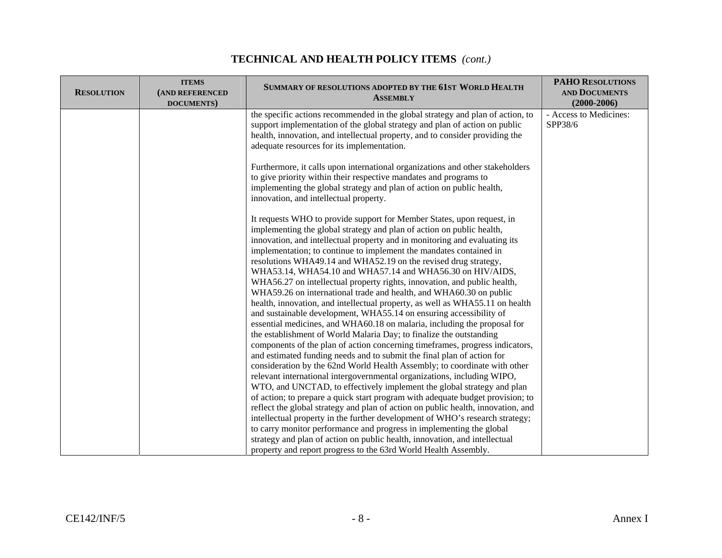| <b>RESOLUTION</b> | <b>ITEMS</b><br>(AND REFERENCED<br>DOCUMENTS) | SUMMARY OF RESOLUTIONS ADOPTED BY THE 61ST WORLD HEALTH<br><b>ASSEMBLY</b>                                                                                                                                                                                                                                                                                                                                                                                                                                                                                                                                                                                                                                                                                                                                                                                                                     | <b>PAHO RESOLUTIONS</b><br><b>AND DOCUMENTS</b><br>$(2000 - 2006)$ |
|-------------------|-----------------------------------------------|------------------------------------------------------------------------------------------------------------------------------------------------------------------------------------------------------------------------------------------------------------------------------------------------------------------------------------------------------------------------------------------------------------------------------------------------------------------------------------------------------------------------------------------------------------------------------------------------------------------------------------------------------------------------------------------------------------------------------------------------------------------------------------------------------------------------------------------------------------------------------------------------|--------------------------------------------------------------------|
|                   |                                               | the specific actions recommended in the global strategy and plan of action, to<br>support implementation of the global strategy and plan of action on public<br>health, innovation, and intellectual property, and to consider providing the<br>adequate resources for its implementation.                                                                                                                                                                                                                                                                                                                                                                                                                                                                                                                                                                                                     | - Access to Medicines:<br>SPP38/6                                  |
|                   |                                               | Furthermore, it calls upon international organizations and other stakeholders<br>to give priority within their respective mandates and programs to<br>implementing the global strategy and plan of action on public health,<br>innovation, and intellectual property.                                                                                                                                                                                                                                                                                                                                                                                                                                                                                                                                                                                                                          |                                                                    |
|                   |                                               | It requests WHO to provide support for Member States, upon request, in<br>implementing the global strategy and plan of action on public health,<br>innovation, and intellectual property and in monitoring and evaluating its<br>implementation; to continue to implement the mandates contained in<br>resolutions WHA49.14 and WHA52.19 on the revised drug strategy,<br>WHA53.14, WHA54.10 and WHA57.14 and WHA56.30 on HIV/AIDS,<br>WHA56.27 on intellectual property rights, innovation, and public health,<br>WHA59.26 on international trade and health, and WHA60.30 on public<br>health, innovation, and intellectual property, as well as WHA55.11 on health<br>and sustainable development, WHA55.14 on ensuring accessibility of<br>essential medicines, and WHA60.18 on malaria, including the proposal for<br>the establishment of World Malaria Day; to finalize the outstanding |                                                                    |
|                   |                                               | components of the plan of action concerning timeframes, progress indicators,<br>and estimated funding needs and to submit the final plan of action for<br>consideration by the 62nd World Health Assembly; to coordinate with other<br>relevant international intergovernmental organizations, including WIPO,<br>WTO, and UNCTAD, to effectively implement the global strategy and plan<br>of action; to prepare a quick start program with adequate budget provision; to<br>reflect the global strategy and plan of action on public health, innovation, and<br>intellectual property in the further development of WHO's research strategy;<br>to carry monitor performance and progress in implementing the global<br>strategy and plan of action on public health, innovation, and intellectual<br>property and report progress to the 63rd World Health Assembly.                        |                                                                    |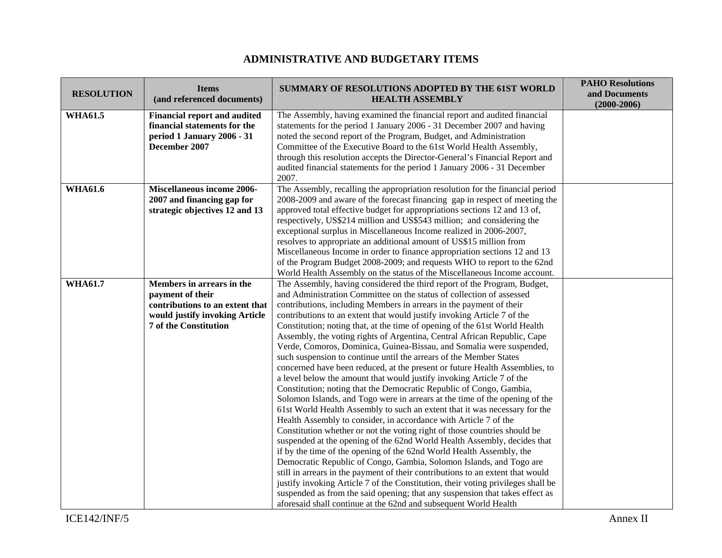### **ADMINISTRATIVE AND BUDGETARY ITEMS**

| <b>RESOLUTION</b> | <b>Items</b><br>(and referenced documents)                                                                                                         | SUMMARY OF RESOLUTIONS ADOPTED BY THE 61ST WORLD<br><b>HEALTH ASSEMBLY</b>                                                                                                                                                                                                                                                                                                                                                                                                                                                                                                                                                                                                                                                                                                                                                                                                                                                                                                                                                                                                                                                                                                                                                                                                                                                                                                                                                                                                                                                                                                                                                                                                                                   | <b>PAHO Resolutions</b><br>and Documents<br>$(2000 - 2006)$ |
|-------------------|----------------------------------------------------------------------------------------------------------------------------------------------------|--------------------------------------------------------------------------------------------------------------------------------------------------------------------------------------------------------------------------------------------------------------------------------------------------------------------------------------------------------------------------------------------------------------------------------------------------------------------------------------------------------------------------------------------------------------------------------------------------------------------------------------------------------------------------------------------------------------------------------------------------------------------------------------------------------------------------------------------------------------------------------------------------------------------------------------------------------------------------------------------------------------------------------------------------------------------------------------------------------------------------------------------------------------------------------------------------------------------------------------------------------------------------------------------------------------------------------------------------------------------------------------------------------------------------------------------------------------------------------------------------------------------------------------------------------------------------------------------------------------------------------------------------------------------------------------------------------------|-------------------------------------------------------------|
| <b>WHA61.5</b>    | <b>Financial report and audited</b><br>financial statements for the<br>period 1 January 2006 - 31<br>December 2007                                 | The Assembly, having examined the financial report and audited financial<br>statements for the period 1 January 2006 - 31 December 2007 and having<br>noted the second report of the Program, Budget, and Administration<br>Committee of the Executive Board to the 61st World Health Assembly,<br>through this resolution accepts the Director-General's Financial Report and<br>audited financial statements for the period 1 January 2006 - 31 December<br>2007.                                                                                                                                                                                                                                                                                                                                                                                                                                                                                                                                                                                                                                                                                                                                                                                                                                                                                                                                                                                                                                                                                                                                                                                                                                          |                                                             |
| <b>WHA61.6</b>    | <b>Miscellaneous income 2006-</b><br>2007 and financing gap for<br>strategic objectives 12 and 13                                                  | The Assembly, recalling the appropriation resolution for the financial period<br>2008-2009 and aware of the forecast financing gap in respect of meeting the<br>approved total effective budget for appropriations sections 12 and 13 of,<br>respectively, US\$214 million and US\$543 million; and considering the<br>exceptional surplus in Miscellaneous Income realized in 2006-2007,<br>resolves to appropriate an additional amount of US\$15 million from<br>Miscellaneous Income in order to finance appropriation sections 12 and 13<br>of the Program Budget 2008-2009; and requests WHO to report to the 62nd<br>World Health Assembly on the status of the Miscellaneous Income account.                                                                                                                                                                                                                                                                                                                                                                                                                                                                                                                                                                                                                                                                                                                                                                                                                                                                                                                                                                                                         |                                                             |
| <b>WHA61.7</b>    | Members in arrears in the<br>payment of their<br>contributions to an extent that<br>would justify invoking Article<br><b>7 of the Constitution</b> | The Assembly, having considered the third report of the Program, Budget,<br>and Administration Committee on the status of collection of assessed<br>contributions, including Members in arrears in the payment of their<br>contributions to an extent that would justify invoking Article 7 of the<br>Constitution; noting that, at the time of opening of the 61st World Health<br>Assembly, the voting rights of Argentina, Central African Republic, Cape<br>Verde, Comoros, Dominica, Guinea-Bissau, and Somalia were suspended,<br>such suspension to continue until the arrears of the Member States<br>concerned have been reduced, at the present or future Health Assemblies, to<br>a level below the amount that would justify invoking Article 7 of the<br>Constitution; noting that the Democratic Republic of Congo, Gambia,<br>Solomon Islands, and Togo were in arrears at the time of the opening of the<br>61st World Health Assembly to such an extent that it was necessary for the<br>Health Assembly to consider, in accordance with Article 7 of the<br>Constitution whether or not the voting right of those countries should be<br>suspended at the opening of the 62nd World Health Assembly, decides that<br>if by the time of the opening of the 62nd World Health Assembly, the<br>Democratic Republic of Congo, Gambia, Solomon Islands, and Togo are<br>still in arrears in the payment of their contributions to an extent that would<br>justify invoking Article 7 of the Constitution, their voting privileges shall be<br>suspended as from the said opening; that any suspension that takes effect as<br>aforesaid shall continue at the 62nd and subsequent World Health |                                                             |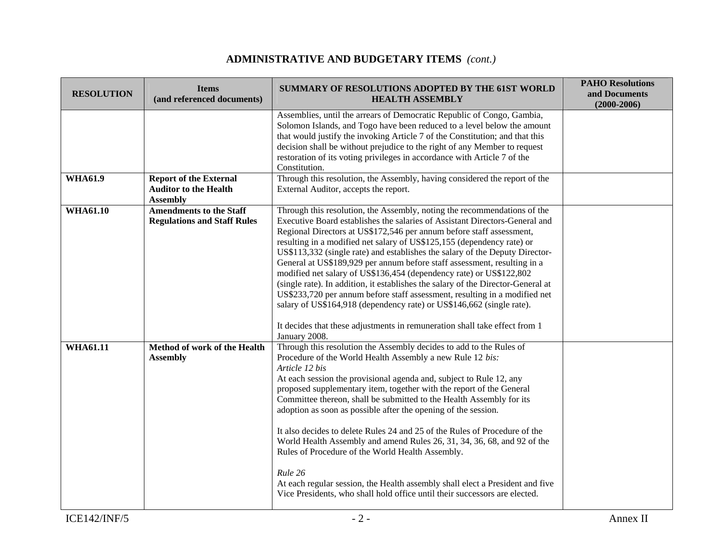# **ADMINISTRATIVE AND BUDGETARY ITEMS** *(cont.)*

| <b>RESOLUTION</b> | <b>Items</b><br>(and referenced documents)                                       | <b>SUMMARY OF RESOLUTIONS ADOPTED BY THE 61ST WORLD</b><br><b>HEALTH ASSEMBLY</b>                                                                                                                                                                                                                                                                                                                                                                                                                                                                                                                                                                                                                                                                                                                                                                                                      | <b>PAHO Resolutions</b><br>and Documents<br>$(2000 - 2006)$ |
|-------------------|----------------------------------------------------------------------------------|----------------------------------------------------------------------------------------------------------------------------------------------------------------------------------------------------------------------------------------------------------------------------------------------------------------------------------------------------------------------------------------------------------------------------------------------------------------------------------------------------------------------------------------------------------------------------------------------------------------------------------------------------------------------------------------------------------------------------------------------------------------------------------------------------------------------------------------------------------------------------------------|-------------------------------------------------------------|
|                   |                                                                                  | Assemblies, until the arrears of Democratic Republic of Congo, Gambia,<br>Solomon Islands, and Togo have been reduced to a level below the amount<br>that would justify the invoking Article 7 of the Constitution; and that this<br>decision shall be without prejudice to the right of any Member to request<br>restoration of its voting privileges in accordance with Article 7 of the<br>Constitution.                                                                                                                                                                                                                                                                                                                                                                                                                                                                            |                                                             |
| <b>WHA61.9</b>    | <b>Report of the External</b><br><b>Auditor to the Health</b><br><b>Assembly</b> | Through this resolution, the Assembly, having considered the report of the<br>External Auditor, accepts the report.                                                                                                                                                                                                                                                                                                                                                                                                                                                                                                                                                                                                                                                                                                                                                                    |                                                             |
| <b>WHA61.10</b>   | <b>Amendments to the Staff</b><br><b>Regulations and Staff Rules</b>             | Through this resolution, the Assembly, noting the recommendations of the<br>Executive Board establishes the salaries of Assistant Directors-General and<br>Regional Directors at US\$172,546 per annum before staff assessment,<br>resulting in a modified net salary of US\$125,155 (dependency rate) or<br>US\$113,332 (single rate) and establishes the salary of the Deputy Director-<br>General at US\$189,929 per annum before staff assessment, resulting in a<br>modified net salary of US\$136,454 (dependency rate) or US\$122,802<br>(single rate). In addition, it establishes the salary of the Director-General at<br>US\$233,720 per annum before staff assessment, resulting in a modified net<br>salary of US\$164,918 (dependency rate) or US\$146,662 (single rate).<br>It decides that these adjustments in remuneration shall take effect from 1<br>January 2008. |                                                             |
| <b>WHA61.11</b>   | Method of work of the Health<br><b>Assembly</b>                                  | Through this resolution the Assembly decides to add to the Rules of<br>Procedure of the World Health Assembly a new Rule 12 bis:<br>Article 12 bis<br>At each session the provisional agenda and, subject to Rule 12, any<br>proposed supplementary item, together with the report of the General<br>Committee thereon, shall be submitted to the Health Assembly for its<br>adoption as soon as possible after the opening of the session.<br>It also decides to delete Rules 24 and 25 of the Rules of Procedure of the<br>World Health Assembly and amend Rules 26, 31, 34, 36, 68, and 92 of the<br>Rules of Procedure of the World Health Assembly.<br>Rule 26<br>At each regular session, the Health assembly shall elect a President and five<br>Vice Presidents, who shall hold office until their successors are elected.                                                     |                                                             |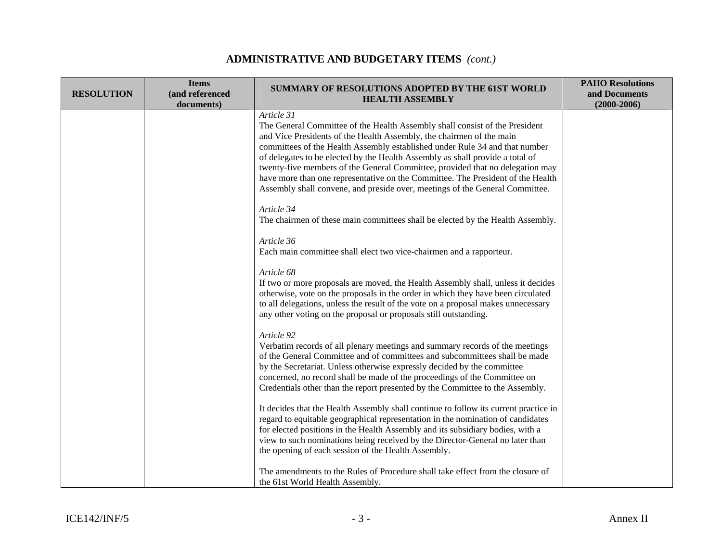# **ADMINISTRATIVE AND BUDGETARY ITEMS** *(cont.)*

| <b>RESOLUTION</b> | <b>Items</b><br>(and referenced<br>documents) | SUMMARY OF RESOLUTIONS ADOPTED BY THE 61ST WORLD<br><b>HEALTH ASSEMBLY</b>                                                                                                                                                                                                                                                                                                                                                                                                                                                                                                            | <b>PAHO Resolutions</b><br>and Documents<br>$(2000 - 2006)$ |
|-------------------|-----------------------------------------------|---------------------------------------------------------------------------------------------------------------------------------------------------------------------------------------------------------------------------------------------------------------------------------------------------------------------------------------------------------------------------------------------------------------------------------------------------------------------------------------------------------------------------------------------------------------------------------------|-------------------------------------------------------------|
|                   |                                               | Article 31<br>The General Committee of the Health Assembly shall consist of the President<br>and Vice Presidents of the Health Assembly, the chairmen of the main<br>committees of the Health Assembly established under Rule 34 and that number<br>of delegates to be elected by the Health Assembly as shall provide a total of<br>twenty-five members of the General Committee, provided that no delegation may<br>have more than one representative on the Committee. The President of the Health<br>Assembly shall convene, and preside over, meetings of the General Committee. |                                                             |
|                   |                                               | Article 34<br>The chairmen of these main committees shall be elected by the Health Assembly.                                                                                                                                                                                                                                                                                                                                                                                                                                                                                          |                                                             |
|                   |                                               | Article 36<br>Each main committee shall elect two vice-chairmen and a rapporteur.                                                                                                                                                                                                                                                                                                                                                                                                                                                                                                     |                                                             |
|                   |                                               | Article 68<br>If two or more proposals are moved, the Health Assembly shall, unless it decides<br>otherwise, vote on the proposals in the order in which they have been circulated<br>to all delegations, unless the result of the vote on a proposal makes unnecessary<br>any other voting on the proposal or proposals still outstanding.                                                                                                                                                                                                                                           |                                                             |
|                   |                                               | Article 92<br>Verbatim records of all plenary meetings and summary records of the meetings<br>of the General Committee and of committees and subcommittees shall be made<br>by the Secretariat. Unless otherwise expressly decided by the committee<br>concerned, no record shall be made of the proceedings of the Committee on<br>Credentials other than the report presented by the Committee to the Assembly.                                                                                                                                                                     |                                                             |
|                   |                                               | It decides that the Health Assembly shall continue to follow its current practice in<br>regard to equitable geographical representation in the nomination of candidates<br>for elected positions in the Health Assembly and its subsidiary bodies, with a<br>view to such nominations being received by the Director-General no later than<br>the opening of each session of the Health Assembly.                                                                                                                                                                                     |                                                             |
|                   |                                               | The amendments to the Rules of Procedure shall take effect from the closure of<br>the 61st World Health Assembly.                                                                                                                                                                                                                                                                                                                                                                                                                                                                     |                                                             |